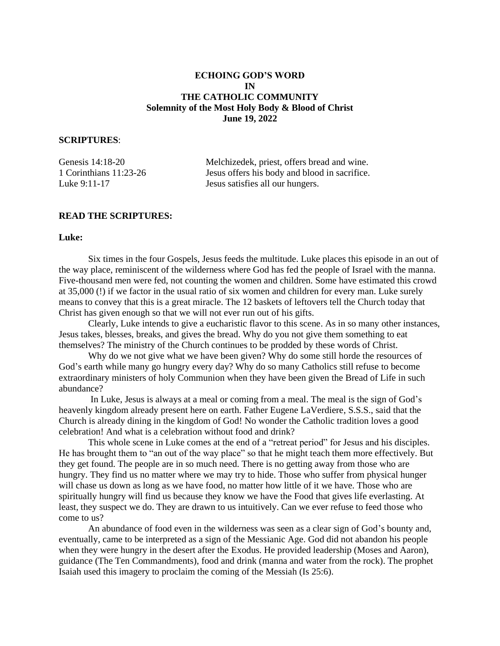# **ECHOING GOD'S WORD IN THE CATHOLIC COMMUNITY Solemnity of the Most Holy Body & Blood of Christ June 19, 2022**

## **SCRIPTURES**:

| Genesis 14:18-20       | Melchizedek, priest, offers bread and wine.   |
|------------------------|-----------------------------------------------|
| 1 Corinthians 11:23-26 | Jesus offers his body and blood in sacrifice. |
| Luke 9:11-17           | Jesus satisfies all our hungers.              |

## **READ THE SCRIPTURES:**

### **Luke:**

Six times in the four Gospels, Jesus feeds the multitude. Luke places this episode in an out of the way place, reminiscent of the wilderness where God has fed the people of Israel with the manna. Five-thousand men were fed, not counting the women and children. Some have estimated this crowd at 35,000 (!) if we factor in the usual ratio of six women and children for every man. Luke surely means to convey that this is a great miracle. The 12 baskets of leftovers tell the Church today that Christ has given enough so that we will not ever run out of his gifts.

Clearly, Luke intends to give a eucharistic flavor to this scene. As in so many other instances, Jesus takes, blesses, breaks, and gives the bread. Why do you not give them something to eat themselves? The ministry of the Church continues to be prodded by these words of Christ.

Why do we not give what we have been given? Why do some still horde the resources of God's earth while many go hungry every day? Why do so many Catholics still refuse to become extraordinary ministers of holy Communion when they have been given the Bread of Life in such abundance?

In Luke, Jesus is always at a meal or coming from a meal. The meal is the sign of God's heavenly kingdom already present here on earth. Father Eugene LaVerdiere, S.S.S., said that the Church is already dining in the kingdom of God! No wonder the Catholic tradition loves a good celebration! And what is a celebration without food and drink?

This whole scene in Luke comes at the end of a "retreat period" for Jesus and his disciples. He has brought them to "an out of the way place" so that he might teach them more effectively. But they get found. The people are in so much need. There is no getting away from those who are hungry. They find us no matter where we may try to hide. Those who suffer from physical hunger will chase us down as long as we have food, no matter how little of it we have. Those who are spiritually hungry will find us because they know we have the Food that gives life everlasting. At least, they suspect we do. They are drawn to us intuitively. Can we ever refuse to feed those who come to us?

An abundance of food even in the wilderness was seen as a clear sign of God's bounty and, eventually, came to be interpreted as a sign of the Messianic Age. God did not abandon his people when they were hungry in the desert after the Exodus. He provided leadership (Moses and Aaron), guidance (The Ten Commandments), food and drink (manna and water from the rock). The prophet Isaiah used this imagery to proclaim the coming of the Messiah (Is 25:6).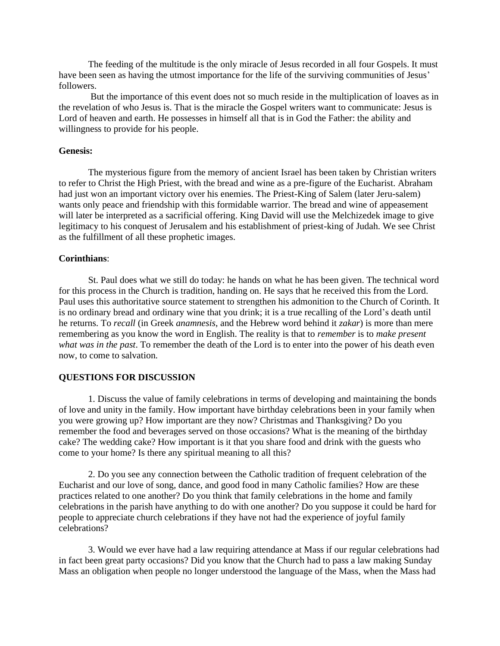The feeding of the multitude is the only miracle of Jesus recorded in all four Gospels. It must have been seen as having the utmost importance for the life of the surviving communities of Jesus' followers.

But the importance of this event does not so much reside in the multiplication of loaves as in the revelation of who Jesus is. That is the miracle the Gospel writers want to communicate: Jesus is Lord of heaven and earth. He possesses in himself all that is in God the Father: the ability and willingness to provide for his people.

### **Genesis:**

The mysterious figure from the memory of ancient Israel has been taken by Christian writers to refer to Christ the High Priest, with the bread and wine as a pre-figure of the Eucharist. Abraham had just won an important victory over his enemies. The Priest-King of Salem (later Jeru-salem) wants only peace and friendship with this formidable warrior. The bread and wine of appeasement will later be interpreted as a sacrificial offering. King David will use the Melchizedek image to give legitimacy to his conquest of Jerusalem and his establishment of priest-king of Judah. We see Christ as the fulfillment of all these prophetic images.

#### **Corinthians**:

St. Paul does what we still do today: he hands on what he has been given. The technical word for this process in the Church is tradition, handing on. He says that he received this from the Lord. Paul uses this authoritative source statement to strengthen his admonition to the Church of Corinth. It is no ordinary bread and ordinary wine that you drink; it is a true recalling of the Lord's death until he returns. To *recall* (in Greek *anamnesis*, and the Hebrew word behind it *zakar*) is more than mere remembering as you know the word in English. The reality is that to *remember* is to *make present what was in the past*. To remember the death of the Lord is to enter into the power of his death even now, to come to salvation.

### **QUESTIONS FOR DISCUSSION**

1. Discuss the value of family celebrations in terms of developing and maintaining the bonds of love and unity in the family. How important have birthday celebrations been in your family when you were growing up? How important are they now? Christmas and Thanksgiving? Do you remember the food and beverages served on those occasions? What is the meaning of the birthday cake? The wedding cake? How important is it that you share food and drink with the guests who come to your home? Is there any spiritual meaning to all this?

2. Do you see any connection between the Catholic tradition of frequent celebration of the Eucharist and our love of song, dance, and good food in many Catholic families? How are these practices related to one another? Do you think that family celebrations in the home and family celebrations in the parish have anything to do with one another? Do you suppose it could be hard for people to appreciate church celebrations if they have not had the experience of joyful family celebrations?

3. Would we ever have had a law requiring attendance at Mass if our regular celebrations had in fact been great party occasions? Did you know that the Church had to pass a law making Sunday Mass an obligation when people no longer understood the language of the Mass, when the Mass had